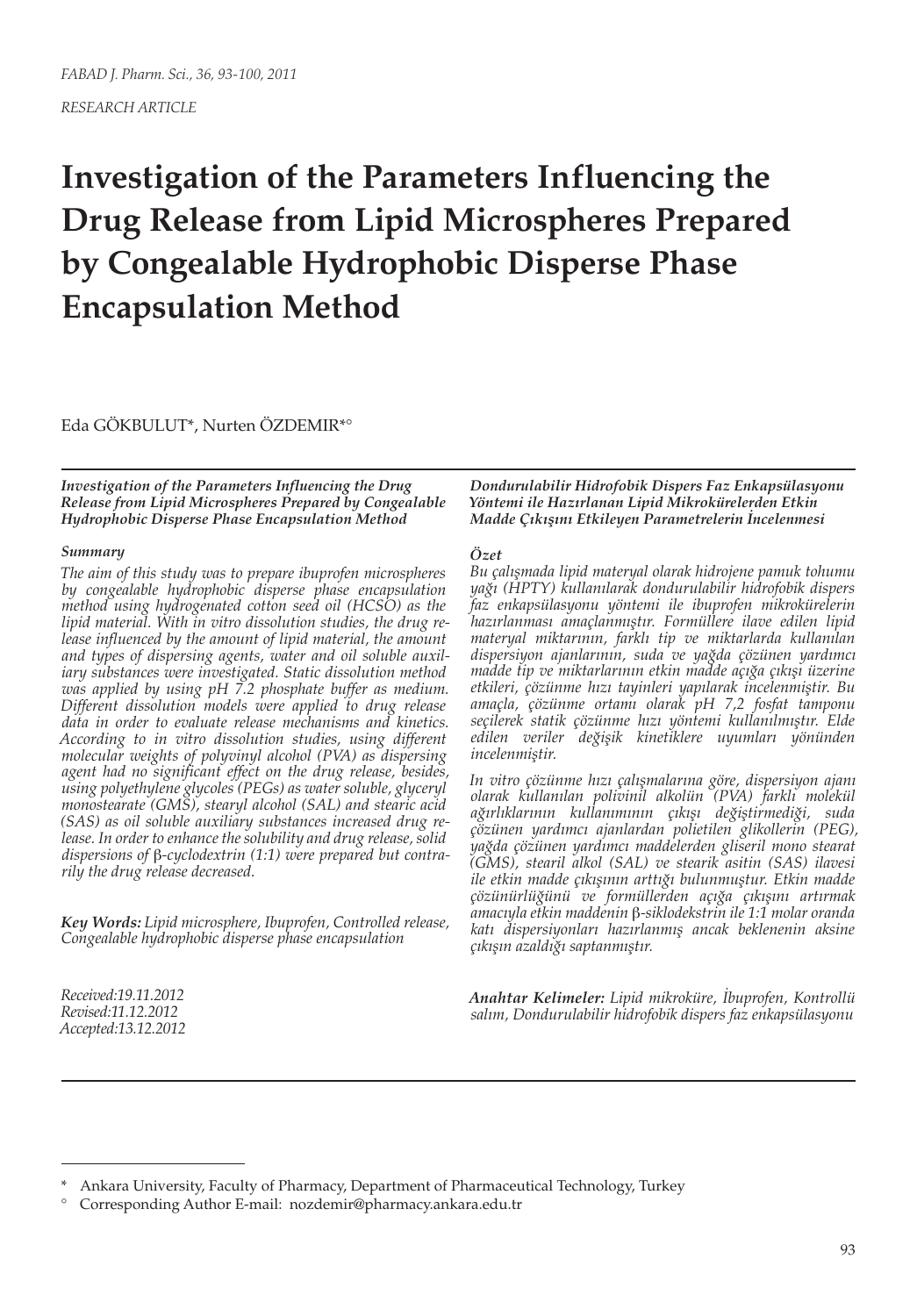# **Investigation of the Parameters Influencing the Drug Release from Lipid Microspheres Prepared by Congealable Hydrophobic Disperse Phase Encapsulation Method**

Eda GÖKBULUT\*, Nurten ÖZDEMIR\*°

*Investigation of the Parameters Influencing the Drug Release from Lipid Microspheres Prepared by Congealable Hydrophobic Disperse Phase Encapsulation Method*

#### *Summary*

*The aim of this study was to prepare ibuprofen microspheres by congealable hydrophobic disperse phase encapsulation method using hydrogenated cotton seed oil (HCSO) as the lipid material. With in vitro dissolution studies, the drug release influenced by the amount of lipid material, the amount and types of dispersing agents, water and oil soluble auxiliary substances were investigated. Static dissolution method was applied by using pH 7.2 phosphate buffer as medium. Different dissolution models were applied to drug release data in order to evaluate release mechanisms and kinetics. According to in vitro dissolution studies, using different molecular weights of polyvinyl alcohol (PVA) as dispersing agent had no significant effect on the drug release, besides, using polyethylene glycoles (PEGs) as water soluble, glyceryl monostearate (GMS), stearyl alcohol (SAL) and stearic acid (SAS) as oil soluble auxiliary substances increased drug release. In order to enhance the solubility and drug release, solid dispersions of* β*-cyclodextrin (1:1) were prepared but contrarily the drug release decreased.*

*Key Words: Lipid microsphere, Ibuprofen, Controlled release, Congealable hydrophobic disperse phase encapsulation*

*Received:19.11.2012 Revised:11.12.2012 Accepted:13.12.2012* *Dondurulabilir Hidrofobik Dispers Faz Enkapsülasyonu Yöntemi ile Hazırlanan Lipid Mikrokürelerden Etkin Madde Çıkışını Etkileyen Parametrelerin İncelenmesi*

#### *Özet*

*Bu çalışmada lipid materyal olarak hidrojene pamuk tohumu yağı (HPTY) kullanılarak dondurulabilir hidrofobik dispers faz enkapsülasyonu yöntemi ile ibuprofen mikrokürelerin hazırlanması amaçlanmıştır. Formüllere ilave edilen lipid materyal miktarının, farklı tip ve miktarlarda kullanılan dispersiyon ajanlarının, suda ve yağda çözünen yardımcı madde tip ve miktarlarının etkin madde açığa çıkışı üzerine etkileri, çözünme hızı tayinleri yapılarak incelenmiştir. Bu amaçla, çözünme ortamı olarak pH 7,2 fosfat tamponu seçilerek statik çözünme hızı yöntemi kullanılmıştır. Elde edilen veriler değişik kinetiklere uyumları yönünden incelenmiştir.*

*In vitro çözünme hızı çalışmalarına göre, dispersiyon ajanı olarak kullanılan polivinil alkolün (PVA) farklı molekül ağırlıklarının kullanımının çıkışı değiştirmediği, suda çözünen yardımcı ajanlardan polietilen glikollerin (PEG), yağda çözünen yardımcı maddelerden gliseril mono stearat (GMS), stearil alkol (SAL) ve stearik asitin (SAS) ilavesi ile etkin madde çıkışının arttığı bulunmuştur. Etkin madde çözünürlüğünü ve formüllerden açığa çıkışını artırmak amacıyla etkin maddenin* β*-siklodekstrin ile 1:1 molar oranda katı dispersiyonları hazırlanmış ancak beklenenin aksine çıkışın azaldığı saptanmıştır.*

*Anahtar Kelimeler: Lipid mikroküre, İbuprofen, Kontrollü salım, Dondurulabilir hidrofobik dispers faz enkapsülasyonu*

Ankara University, Faculty of Pharmacy, Department of Pharmaceutical Technology, Turkey

<sup>°</sup> Corresponding Author E-mail: nozdemir@pharmacy.ankara.edu.tr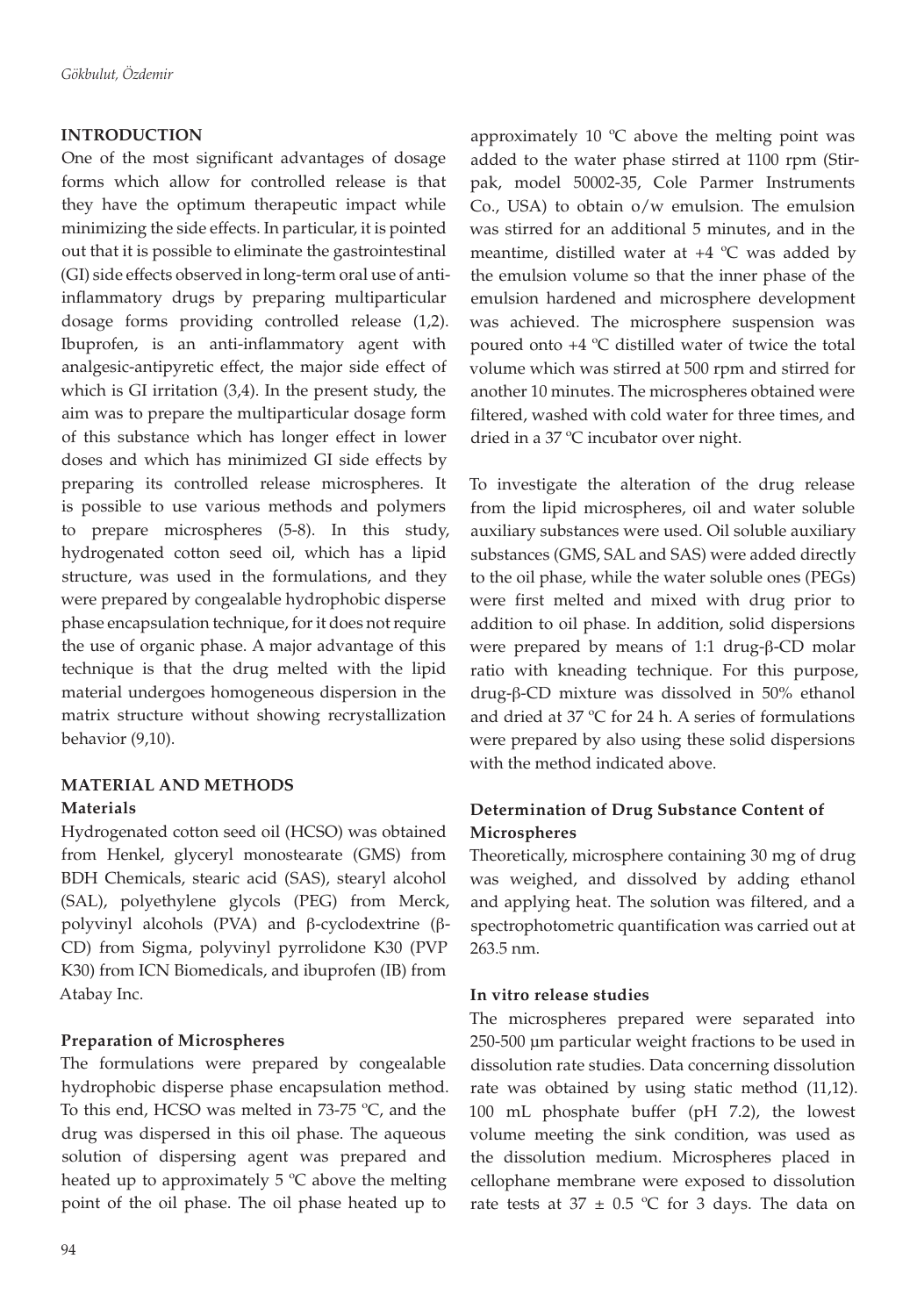# **INTRODUCTION**

One of the most significant advantages of dosage forms which allow for controlled release is that they have the optimum therapeutic impact while minimizing the side effects. In particular, it is pointed out that it is possible to eliminate the gastrointestinal (GI) side effects observed in long-term oral use of antiinflammatory drugs by preparing multiparticular dosage forms providing controlled release (1,2). Ibuprofen, is an anti-inflammatory agent with analgesic-antipyretic effect, the major side effect of which is GI irritation (3,4). In the present study, the aim was to prepare the multiparticular dosage form of this substance which has longer effect in lower doses and which has minimized GI side effects by preparing its controlled release microspheres. It is possible to use various methods and polymers to prepare microspheres (5-8). In this study, hydrogenated cotton seed oil, which has a lipid structure, was used in the formulations, and they were prepared by congealable hydrophobic disperse phase encapsulation technique, for it does not require the use of organic phase. A major advantage of this technique is that the drug melted with the lipid material undergoes homogeneous dispersion in the matrix structure without showing recrystallization behavior (9,10).

# **MATERIAL AND METHODS**

# **Materials**

Hydrogenated cotton seed oil (HCSO) was obtained from Henkel, glyceryl monostearate (GMS) from BDH Chemicals, stearic acid (SAS), stearyl alcohol (SAL), polyethylene glycols (PEG) from Merck, polyvinyl alcohols (PVA) and β-cyclodextrine (β-CD) from Sigma, polyvinyl pyrrolidone K30 (PVP K30) from ICN Biomedicals, and ibuprofen (IB) from Atabay Inc.

## **Preparation of Microspheres**

The formulations were prepared by congealable hydrophobic disperse phase encapsulation method. To this end, HCSO was melted in 73-75 ºC, and the drug was dispersed in this oil phase. The aqueous solution of dispersing agent was prepared and heated up to approximately  $5^{\circ}$ C above the melting point of the oil phase. The oil phase heated up to

approximately 10  $^{\circ}$ C above the melting point was added to the water phase stirred at 1100 rpm (Stirpak, model 50002-35, Cole Parmer Instruments Co., USA) to obtain o/w emulsion. The emulsion was stirred for an additional 5 minutes, and in the meantime, distilled water at  $+4$  °C was added by the emulsion volume so that the inner phase of the emulsion hardened and microsphere development was achieved. The microsphere suspension was poured onto +4 ºC distilled water of twice the total volume which was stirred at 500 rpm and stirred for another 10 minutes. The microspheres obtained were filtered, washed with cold water for three times, and dried in a 37 ºC incubator over night.

To investigate the alteration of the drug release from the lipid microspheres, oil and water soluble auxiliary substances were used. Oil soluble auxiliary substances (GMS, SAL and SAS) were added directly to the oil phase, while the water soluble ones (PEGs) were first melted and mixed with drug prior to addition to oil phase. In addition, solid dispersions were prepared by means of 1:1 drug-β-CD molar ratio with kneading technique. For this purpose, drug-β-CD mixture was dissolved in 50% ethanol and dried at 37 ºC for 24 h. A series of formulations were prepared by also using these solid dispersions with the method indicated above.

# **Determination of Drug Substance Content of Microspheres**

Theoretically, microsphere containing 30 mg of drug was weighed, and dissolved by adding ethanol and applying heat. The solution was filtered, and a spectrophotometric quantification was carried out at 263.5 nm.

## **In vitro release studies**

The microspheres prepared were separated into 250-500 µm particular weight fractions to be used in dissolution rate studies. Data concerning dissolution rate was obtained by using static method (11,12). 100 mL phosphate buffer (pH 7.2), the lowest volume meeting the sink condition, was used as the dissolution medium. Microspheres placed in cellophane membrane were exposed to dissolution rate tests at  $37 \pm 0.5$  °C for 3 days. The data on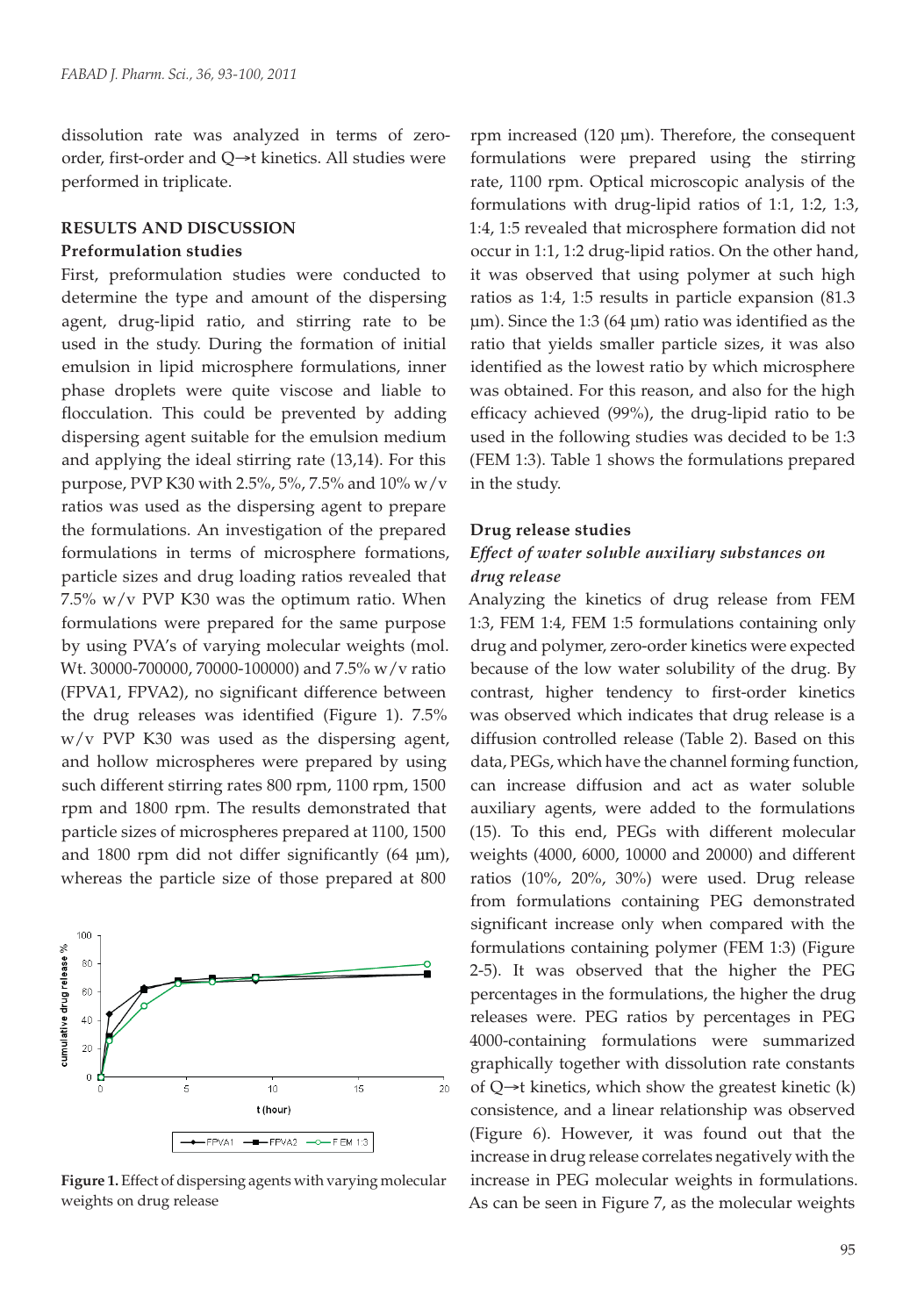dissolution rate was analyzed in terms of zeroorder, first-order and Q→t kinetics. All studies were performed in triplicate.

#### **RESULTS AND DISCUSSION**

#### **Preformulation studies**

First, preformulation studies were conducted to determine the type and amount of the dispersing agent, drug-lipid ratio, and stirring rate to be used in the study. During the formation of initial emulsion in lipid microsphere formulations, inner phase droplets were quite viscose and liable to flocculation. This could be prevented by adding dispersing agent suitable for the emulsion medium and applying the ideal stirring rate (13,14). For this purpose, PVP K30 with 2.5%, 5%, 7.5% and 10% w/v ratios was used as the dispersing agent to prepare the formulations. An investigation of the prepared formulations in terms of microsphere formations, particle sizes and drug loading ratios revealed that 7.5% w/v PVP K30 was the optimum ratio. When formulations were prepared for the same purpose by using PVA's of varying molecular weights (mol. Wt. 30000-700000, 70000-100000) and 7.5% w/v ratio (FPVA1, FPVA2), no significant difference between the drug releases was identified (Figure 1). 7.5% w/v PVP K30 was used as the dispersing agent, and hollow microspheres were prepared by using such different stirring rates 800 rpm, 1100 rpm, 1500 rpm and 1800 rpm. The results demonstrated that particle sizes of microspheres prepared at 1100, 1500 and 1800 rpm did not differ significantly (64 µm), whereas the particle size of those prepared at 800



**Figure 1.** Effect of dispersing agents with varying molecular weights on drug release

rpm increased (120 µm). Therefore, the consequent formulations were prepared using the stirring rate, 1100 rpm. Optical microscopic analysis of the formulations with drug-lipid ratios of 1:1, 1:2, 1:3, 1:4, 1:5 revealed that microsphere formation did not occur in 1:1, 1:2 drug-lipid ratios. On the other hand, it was observed that using polymer at such high ratios as 1:4, 1:5 results in particle expansion (81.3 µm). Since the 1:3 (64 µm) ratio was identified as the ratio that yields smaller particle sizes, it was also identified as the lowest ratio by which microsphere was obtained. For this reason, and also for the high efficacy achieved (99%), the drug-lipid ratio to be used in the following studies was decided to be 1:3 (FEM 1:3). Table 1 shows the formulations prepared in the study.

#### **Drug release studies**

# *Effect of water soluble auxiliary substances on drug release*

Analyzing the kinetics of drug release from FEM 1:3, FEM 1:4, FEM 1:5 formulations containing only drug and polymer, zero-order kinetics were expected because of the low water solubility of the drug. By contrast, higher tendency to first-order kinetics was observed which indicates that drug release is a diffusion controlled release (Table 2). Based on this data, PEGs, which have the channel forming function, can increase diffusion and act as water soluble auxiliary agents, were added to the formulations (15). To this end, PEGs with different molecular weights (4000, 6000, 10000 and 20000) and different ratios (10%, 20%, 30%) were used. Drug release from formulations containing PEG demonstrated significant increase only when compared with the formulations containing polymer (FEM 1:3) (Figure 2-5). It was observed that the higher the PEG percentages in the formulations, the higher the drug releases were. PEG ratios by percentages in PEG 4000-containing formulations were summarized graphically together with dissolution rate constants of  $Q\rightarrow t$  kinetics, which show the greatest kinetic  $(k)$ consistence, and a linear relationship was observed (Figure 6). However, it was found out that the increase in drug release correlates negatively with the increase in PEG molecular weights in formulations. As can be seen in Figure 7, as the molecular weights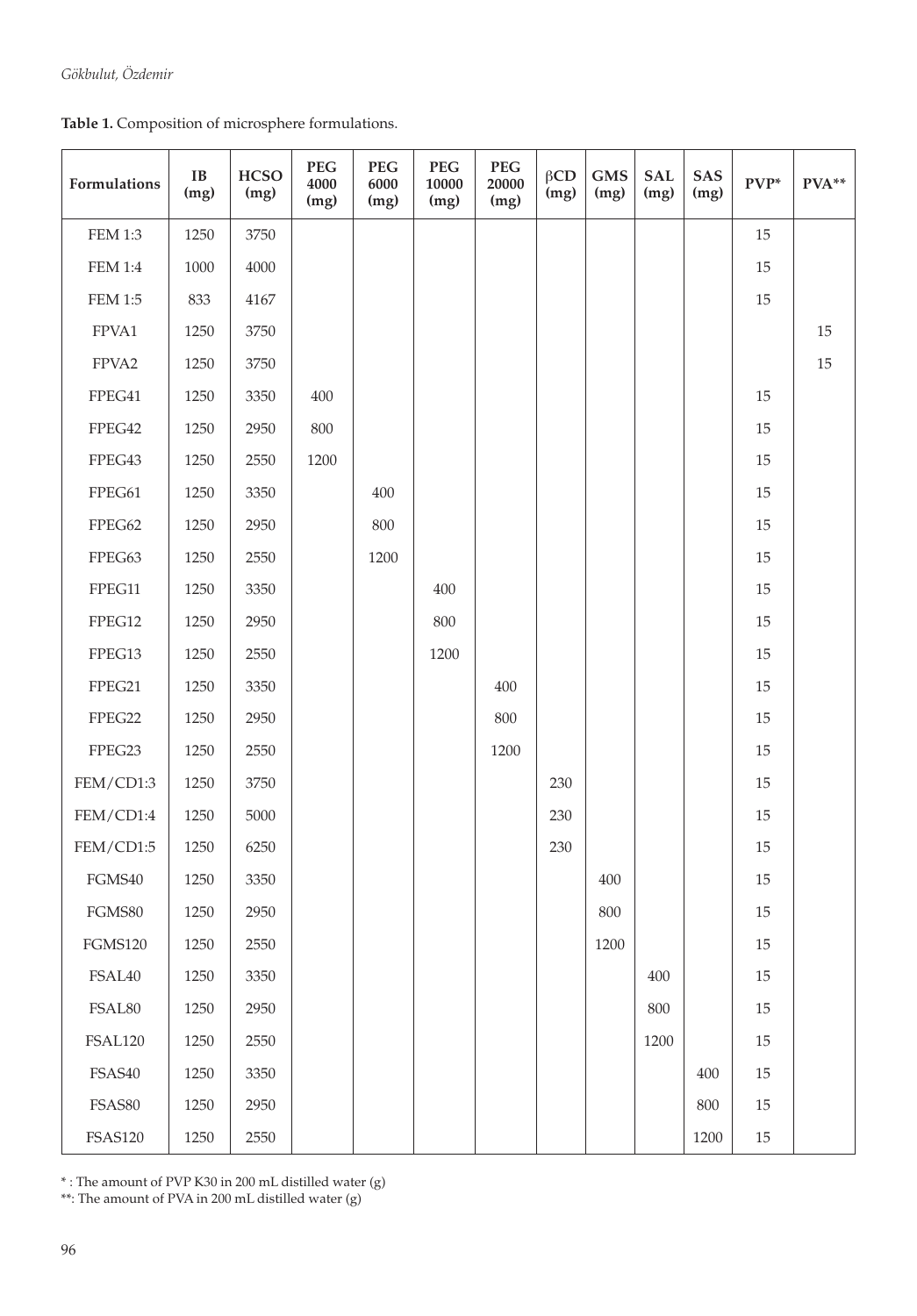**Table 1.** Composition of microsphere formulations.

| Formulations   | $\bf IB$<br>(mg) | <b>HCSO</b><br>(mg) | <b>PEG</b><br>4000<br>(mg) | <b>PEG</b><br>6000<br>(mg) | <b>PEG</b><br>10000<br>(mg) | <b>PEG</b><br>20000<br>(mg) | $\beta$ CD<br>(mg) | <b>GMS</b><br>(mg) | <b>SAL</b><br>(mg) | SAS<br>(mg) | $PVP^*$ | PVA**  |
|----------------|------------------|---------------------|----------------------------|----------------------------|-----------------------------|-----------------------------|--------------------|--------------------|--------------------|-------------|---------|--------|
| <b>FEM 1:3</b> | 1250             | 3750                |                            |                            |                             |                             |                    |                    |                    |             | 15      |        |
| $\rm FEM$ 1:4  | 1000             | 4000                |                            |                            |                             |                             |                    |                    |                    |             | 15      |        |
| <b>FEM 1:5</b> | 833              | 4167                |                            |                            |                             |                             |                    |                    |                    |             | 15      |        |
| FPVA1          | 1250             | 3750                |                            |                            |                             |                             |                    |                    |                    |             |         | 15     |
| FPVA2          | 1250             | 3750                |                            |                            |                             |                             |                    |                    |                    |             |         | $15\,$ |
| FPEG41         | 1250             | 3350                | 400                        |                            |                             |                             |                    |                    |                    |             | 15      |        |
| FPEG42         | 1250             | 2950                | 800                        |                            |                             |                             |                    |                    |                    |             | 15      |        |
| FPEG43         | 1250             | 2550                | 1200                       |                            |                             |                             |                    |                    |                    |             | 15      |        |
| FPEG61         | 1250             | 3350                |                            | 400                        |                             |                             |                    |                    |                    |             | 15      |        |
| FPEG62         | 1250             | 2950                |                            | 800                        |                             |                             |                    |                    |                    |             | 15      |        |
| FPEG63         | 1250             | 2550                |                            | 1200                       |                             |                             |                    |                    |                    |             | 15      |        |
| FPEG11         | 1250             | 3350                |                            |                            | 400                         |                             |                    |                    |                    |             | 15      |        |
| FPEG12         | 1250             | 2950                |                            |                            | 800                         |                             |                    |                    |                    |             | 15      |        |
| FPEG13         | 1250             | 2550                |                            |                            | 1200                        |                             |                    |                    |                    |             | 15      |        |
| FPEG21         | 1250             | 3350                |                            |                            |                             | 400                         |                    |                    |                    |             | 15      |        |
| FPEG22         | 1250             | 2950                |                            |                            |                             | 800                         |                    |                    |                    |             | 15      |        |
| FPEG23         | 1250             | 2550                |                            |                            |                             | 1200                        |                    |                    |                    |             | 15      |        |
| FEM/CD1:3      | 1250             | 3750                |                            |                            |                             |                             | 230                |                    |                    |             | 15      |        |
| FEM/CD1:4      | 1250             | 5000                |                            |                            |                             |                             | 230                |                    |                    |             | 15      |        |
| FEM/CD1:5      | 1250             | 6250                |                            |                            |                             |                             | 230                |                    |                    |             | 15      |        |
| FGMS40         | 1250             | 3350                |                            |                            |                             |                             |                    | 400                |                    |             | 15      |        |
| FGMS80         | 1250             | 2950                |                            |                            |                             |                             |                    | 800                |                    |             | 15      |        |
| <b>FGMS120</b> | 1250             | 2550                |                            |                            |                             |                             |                    | 1200               |                    |             | 15      |        |
| FSAL40         | 1250             | 3350                |                            |                            |                             |                             |                    |                    | 400                |             | 15      |        |
| FSAL80         | 1250             | 2950                |                            |                            |                             |                             |                    |                    | $800\,$            |             | 15      |        |
| <b>FSAL120</b> | 1250             | 2550                |                            |                            |                             |                             |                    |                    | 1200               |             | 15      |        |
| FSAS40         | 1250             | 3350                |                            |                            |                             |                             |                    |                    |                    | 400         | 15      |        |
| FSAS80         | 1250             | 2950                |                            |                            |                             |                             |                    |                    |                    | 800         | 15      |        |
| <b>FSAS120</b> | 1250             | 2550                |                            |                            |                             |                             |                    |                    |                    | 1200        | $15\,$  |        |

\* : The amount of PVP K30 in 200 mL distilled water (g)

\*\*: The amount of PVA in 200 mL distilled water (g)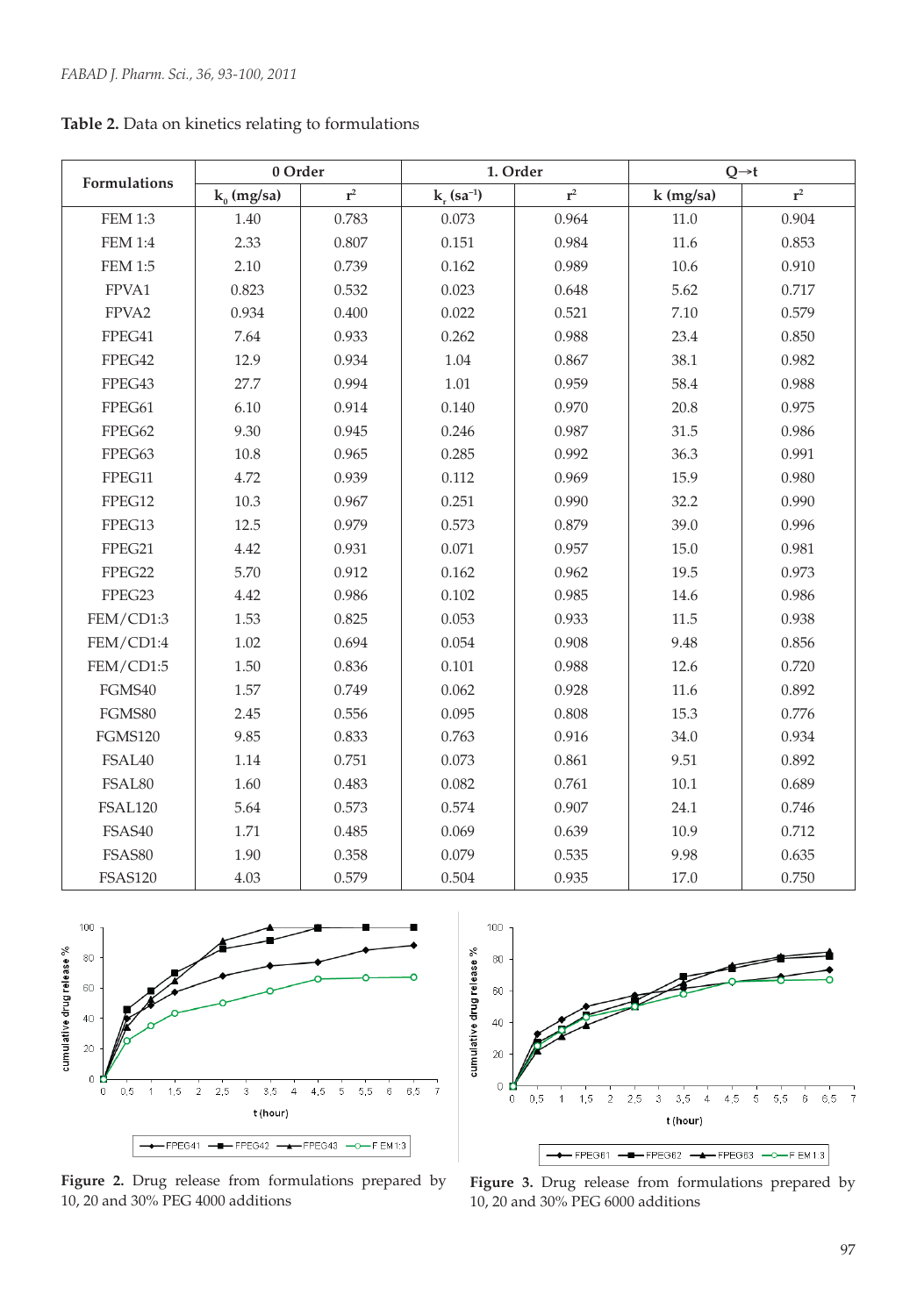|                | 0 Order       |       |                             | 1. Order       | $Q \rightarrow t$ |                |  |
|----------------|---------------|-------|-----------------------------|----------------|-------------------|----------------|--|
| Formulations   | $k_0$ (mg/sa) | $r^2$ | $k_{r}$ (sa <sup>-1</sup> ) | $\mathbf{r}^2$ | $k$ (mg/sa)       | $\mathbf{r}^2$ |  |
| <b>FEM 1:3</b> | 1.40          | 0.783 | 0.073                       | 0.964          | 11.0              | 0.904          |  |
| <b>FEM 1:4</b> | 2.33          | 0.807 | 0.151                       | 0.984          | 11.6              | 0.853          |  |
| <b>FEM 1:5</b> | 2.10          | 0.739 | 0.162                       | 0.989          | 10.6              | 0.910          |  |
| FPVA1          | 0.823         | 0.532 | 0.023                       | 0.648          | 5.62              | 0.717          |  |
| FPVA2          | 0.934         | 0.400 | 0.022                       | 0.521          | 7.10              | 0.579          |  |
| FPEG41         | 7.64          | 0.933 | 0.262                       | 0.988          | 23.4              | 0.850          |  |
| FPEG42         | 12.9          | 0.934 | 1.04                        | 0.867          | 38.1              | 0.982          |  |
| FPEG43         | 27.7          | 0.994 | 1.01                        | 0.959          | 58.4              | 0.988          |  |
| FPEG61         | 6.10          | 0.914 | 0.140                       | 0.970          | 20.8              | 0.975          |  |
| FPEG62         | 9.30          | 0.945 | 0.246                       | 0.987          | 31.5              | 0.986          |  |
| FPEG63         | 10.8          | 0.965 | 0.285                       | 0.992          | 36.3              | 0.991          |  |
| FPEG11         | 4.72          | 0.939 | 0.112                       | 0.969          | 15.9              | 0.980          |  |
| FPEG12         | 10.3          | 0.967 | 0.251                       | 0.990          | 32.2              | 0.990          |  |
| FPEG13         | 12.5          | 0.979 | 0.573                       | 0.879          | 39.0              | 0.996          |  |
| FPEG21         | 4.42          | 0.931 | 0.071                       | 0.957          | 15.0              | 0.981          |  |
| FPEG22         | 5.70          | 0.912 | 0.162                       | 0.962          | 19.5              | 0.973          |  |
| FPEG23         | 4.42          | 0.986 | 0.102                       | 0.985          | 14.6              | 0.986          |  |
| FEM/CD1:3      | 1.53          | 0.825 | 0.053                       | 0.933          | 11.5              | 0.938          |  |
| FEM/CD1:4      | 1.02          | 0.694 | 0.054                       | 0.908          | 9.48              | 0.856          |  |
| FEM/CD1:5      | 1.50          | 0.836 | 0.101                       | 0.988          | 12.6              | 0.720          |  |
| FGMS40         | 1.57          | 0.749 | 0.062                       | 0.928          | 11.6              | 0.892          |  |
| FGMS80         | 2.45          | 0.556 | 0.095                       | 0.808          | 15.3              | 0.776          |  |
| <b>FGMS120</b> | 9.85          | 0.833 | 0.763                       | 0.916          | 34.0              | 0.934          |  |
| FSAL40         | $1.14\,$      | 0.751 | 0.073                       | 0.861          | 9.51              | 0.892          |  |
| FSAL80         | 1.60          | 0.483 | 0.082                       | 0.761          | 10.1              | 0.689          |  |
| FSAL120        | 5.64          | 0.573 | 0.574                       | 0.907          | 24.1              | 0.746          |  |
| FSAS40         | 1.71          | 0.485 | 0.069                       | 0.639          | 10.9              | 0.712          |  |
| FSAS80         | 1.90          | 0.358 | 0.079                       | 0.535          | 9.98              | 0.635          |  |
| <b>FSAS120</b> | 4.03          | 0.579 | 0.504                       | 0.935          | 17.0              | 0.750          |  |

**Table 2.** Data on kinetics relating to formulations



**Figure 2.** Drug release from formulations prepared by 10, 20 and 30% PEG 4000 additions



**Figure 3.** Drug release from formulations prepared by 10, 20 and 30% PEG 6000 additions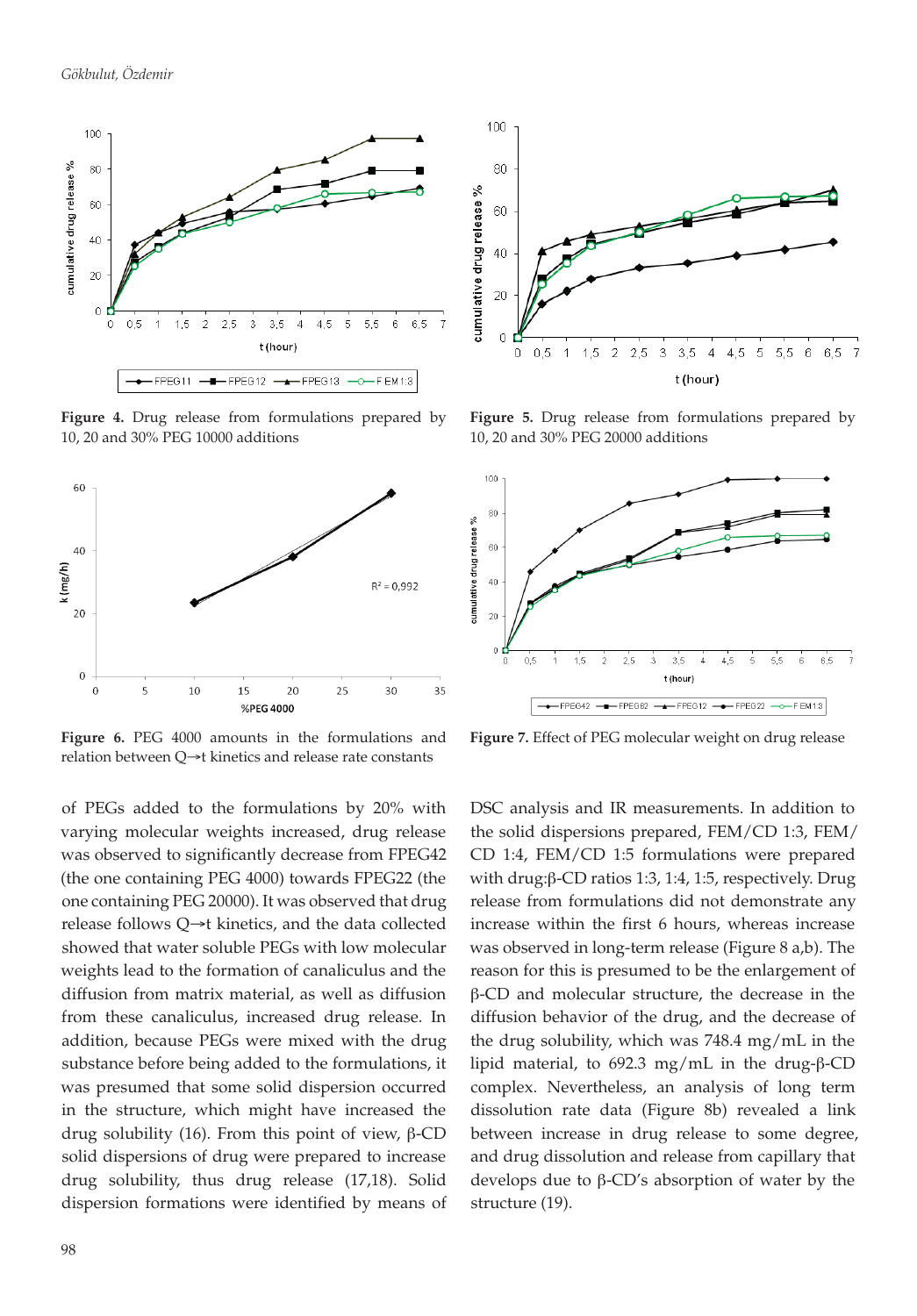

**Figure 4.** Drug release from formulations prepared by 10, 20 and 30% PEG 10000 additions



**Figure 6.** PEG 4000 amounts in the formulations and relation between Q→t kinetics and release rate constants

of PEGs added to the formulations by 20% with varying molecular weights increased, drug release was observed to significantly decrease from FPEG42 (the one containing PEG 4000) towards FPEG22 (the one containing PEG 20000). It was observed that drug release follows Q→t kinetics, and the data collected showed that water soluble PEGs with low molecular weights lead to the formation of canaliculus and the diffusion from matrix material, as well as diffusion from these canaliculus, increased drug release. In addition, because PEGs were mixed with the drug substance before being added to the formulations, it was presumed that some solid dispersion occurred in the structure, which might have increased the drug solubility (16). From this point of view, β-CD solid dispersions of drug were prepared to increase drug solubility, thus drug release (17,18). Solid dispersion formations were identified by means of



**Figure 5.** Drug release from formulations prepared by 10, 20 and 30% PEG 20000 additions



**Figure 7.** Effect of PEG molecular weight on drug release

DSC analysis and IR measurements. In addition to the solid dispersions prepared, FEM/CD 1:3, FEM/ CD 1:4, FEM/CD 1:5 formulations were prepared with drug:β-CD ratios 1:3, 1:4, 1:5, respectively. Drug release from formulations did not demonstrate any increase within the first 6 hours, whereas increase was observed in long-term release (Figure 8 a,b). The reason for this is presumed to be the enlargement of β-CD and molecular structure, the decrease in the diffusion behavior of the drug, and the decrease of the drug solubility, which was 748.4 mg/mL in the lipid material, to 692.3 mg/mL in the drug-β-CD complex. Nevertheless, an analysis of long term dissolution rate data (Figure 8b) revealed a link between increase in drug release to some degree, and drug dissolution and release from capillary that develops due to β-CD's absorption of water by the structure (19).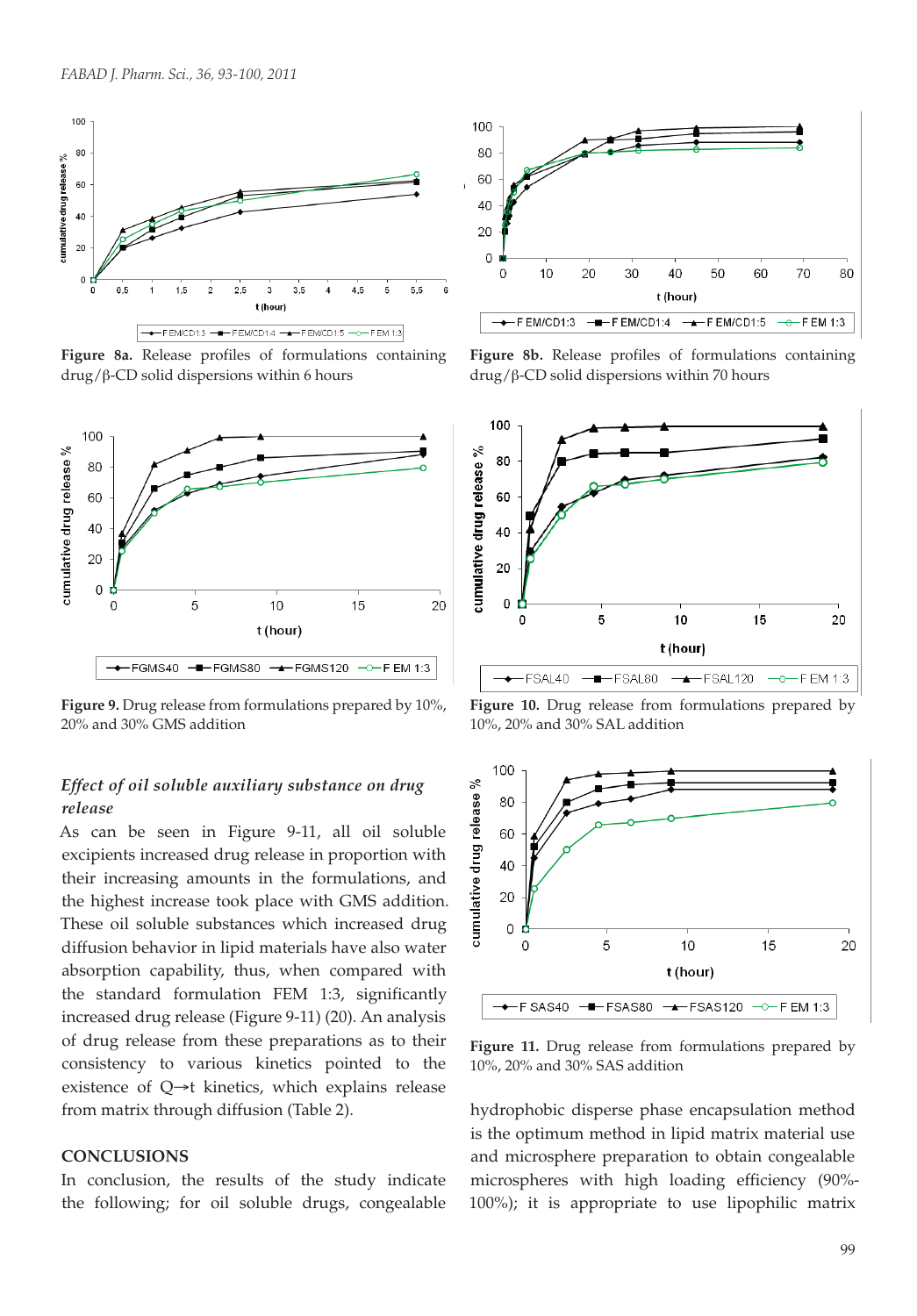

**Figure 8a.** Release profiles of formulations containing drug/β-CD solid dispersions within 6 hours



**Figure 9.** Drug release from formulations prepared by 10%, 20% and 30% GMS addition

# *Effect of oil soluble auxiliary substance on drug release*

As can be seen in Figure 9-11, all oil soluble excipients increased drug release in proportion with their increasing amounts in the formulations, and the highest increase took place with GMS addition. These oil soluble substances which increased drug diffusion behavior in lipid materials have also water absorption capability, thus, when compared with the standard formulation FEM 1:3, significantly increased drug release (Figure 9-11) (20). An analysis of drug release from these preparations as to their consistency to various kinetics pointed to the existence of Q→t kinetics, which explains release from matrix through diffusion (Table 2).

#### **CONCLUSIONS**

In conclusion, the results of the study indicate the following; for oil soluble drugs, congealable



**Figure 8b.** Release profiles of formulations containing drug/β-CD solid dispersions within 70 hours



**Figure 10.** Drug release from formulations prepared by 10%, 20% and 30% SAL addition



**Figure 11.** Drug release from formulations prepared by 10%, 20% and 30% SAS addition

hydrophobic disperse phase encapsulation method is the optimum method in lipid matrix material use and microsphere preparation to obtain congealable microspheres with high loading efficiency (90%- 100%); it is appropriate to use lipophilic matrix